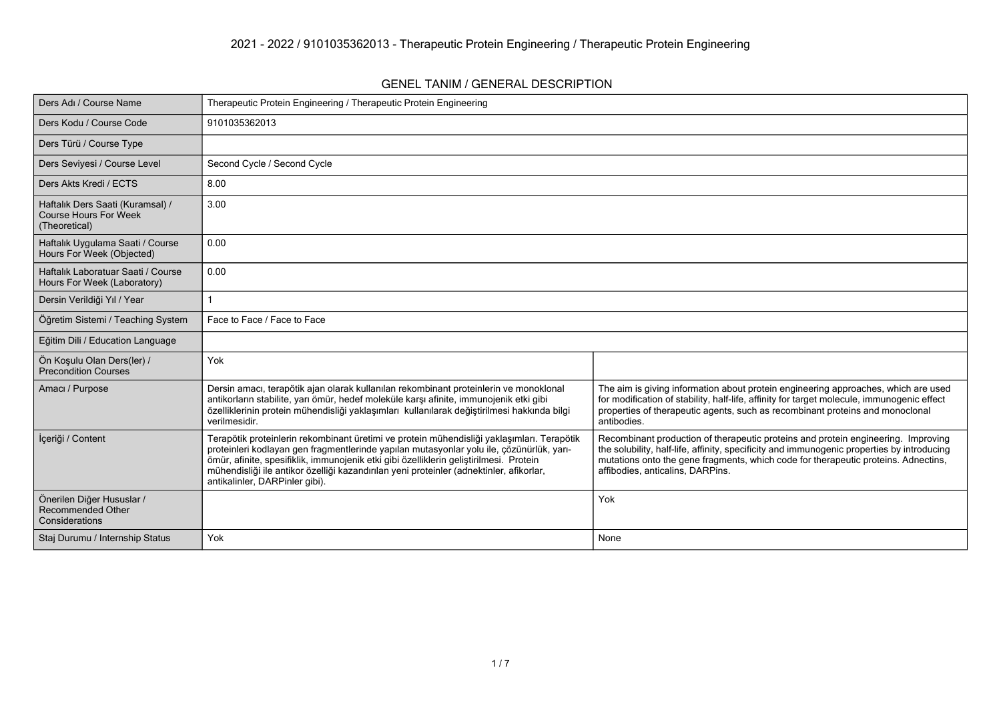#### **GENEL TANIM / GENERAL DESCRIPTION**

| Ders Adı / Course Name                                                            | Therapeutic Protein Engineering / Therapeutic Protein Engineering                                                                                                                                                                                                                                                                                                                                             |                                                                                                                                                                                                                                                                                                           |
|-----------------------------------------------------------------------------------|---------------------------------------------------------------------------------------------------------------------------------------------------------------------------------------------------------------------------------------------------------------------------------------------------------------------------------------------------------------------------------------------------------------|-----------------------------------------------------------------------------------------------------------------------------------------------------------------------------------------------------------------------------------------------------------------------------------------------------------|
| Ders Kodu / Course Code                                                           | 9101035362013                                                                                                                                                                                                                                                                                                                                                                                                 |                                                                                                                                                                                                                                                                                                           |
| Ders Türü / Course Type                                                           |                                                                                                                                                                                                                                                                                                                                                                                                               |                                                                                                                                                                                                                                                                                                           |
| Ders Seviyesi / Course Level                                                      | Second Cycle / Second Cycle                                                                                                                                                                                                                                                                                                                                                                                   |                                                                                                                                                                                                                                                                                                           |
| Ders Akts Kredi / ECTS                                                            | 8.00                                                                                                                                                                                                                                                                                                                                                                                                          |                                                                                                                                                                                                                                                                                                           |
| Haftalık Ders Saati (Kuramsal) /<br><b>Course Hours For Week</b><br>(Theoretical) | 3.00                                                                                                                                                                                                                                                                                                                                                                                                          |                                                                                                                                                                                                                                                                                                           |
| Haftalık Uygulama Saati / Course<br>Hours For Week (Objected)                     | 0.00                                                                                                                                                                                                                                                                                                                                                                                                          |                                                                                                                                                                                                                                                                                                           |
| Haftalık Laboratuar Saati / Course<br>Hours For Week (Laboratory)                 | 0.00                                                                                                                                                                                                                                                                                                                                                                                                          |                                                                                                                                                                                                                                                                                                           |
| Dersin Verildiği Yıl / Year                                                       |                                                                                                                                                                                                                                                                                                                                                                                                               |                                                                                                                                                                                                                                                                                                           |
| Öğretim Sistemi / Teaching System                                                 | Face to Face / Face to Face                                                                                                                                                                                                                                                                                                                                                                                   |                                                                                                                                                                                                                                                                                                           |
| Eğitim Dili / Education Language                                                  |                                                                                                                                                                                                                                                                                                                                                                                                               |                                                                                                                                                                                                                                                                                                           |
| Ön Koşulu Olan Ders(ler) /<br><b>Precondition Courses</b>                         | Yok                                                                                                                                                                                                                                                                                                                                                                                                           |                                                                                                                                                                                                                                                                                                           |
| Amacı / Purpose                                                                   | Dersin amacı, terapötik ajan olarak kullanılan rekombinant proteinlerin ve monoklonal<br>antikorların stabilite, yarı ömür, hedef moleküle karşı afinite, immunojenik etki gibi<br>özelliklerinin protein mühendisliği yaklaşımları kullanılarak değiştirilmesi hakkında bilgi<br>verilmesidir.                                                                                                               | The aim is giving information about protein engineering approaches, which are used<br>for modification of stability, half-life, affinity for target molecule, immunogenic effect<br>properties of therapeutic agents, such as recombinant proteins and monoclonal<br>antibodies.                          |
| İçeriği / Content                                                                 | Terapötik proteinlerin rekombinant üretimi ve protein mühendisliği yaklaşımları. Terapötik<br>proteinleri kodlayan gen fragmentlerinde yapılan mutasyonlar yolu ile, çözünürlük, yarı-<br>ömür, afinite, spesifiklik, immunojenik etki gibi özelliklerin geliştirilmesi. Protein<br>mühendisliği ile antikor özelliği kazandırılan yeni proteinler (adnektinler, afikorlar,<br>antikalinler, DARPinler gibi). | Recombinant production of therapeutic proteins and protein engineering. Improving<br>the solubility, half-life, affinity, specificity and immunogenic properties by introducing<br>mutations onto the gene fragments, which code for therapeutic proteins. Adnectins,<br>affibodies, anticalins, DARPins. |
| Önerilen Diğer Hususlar /<br><b>Recommended Other</b><br>Considerations           |                                                                                                                                                                                                                                                                                                                                                                                                               | Yok                                                                                                                                                                                                                                                                                                       |
| Staj Durumu / Internship Status                                                   | Yok                                                                                                                                                                                                                                                                                                                                                                                                           | None                                                                                                                                                                                                                                                                                                      |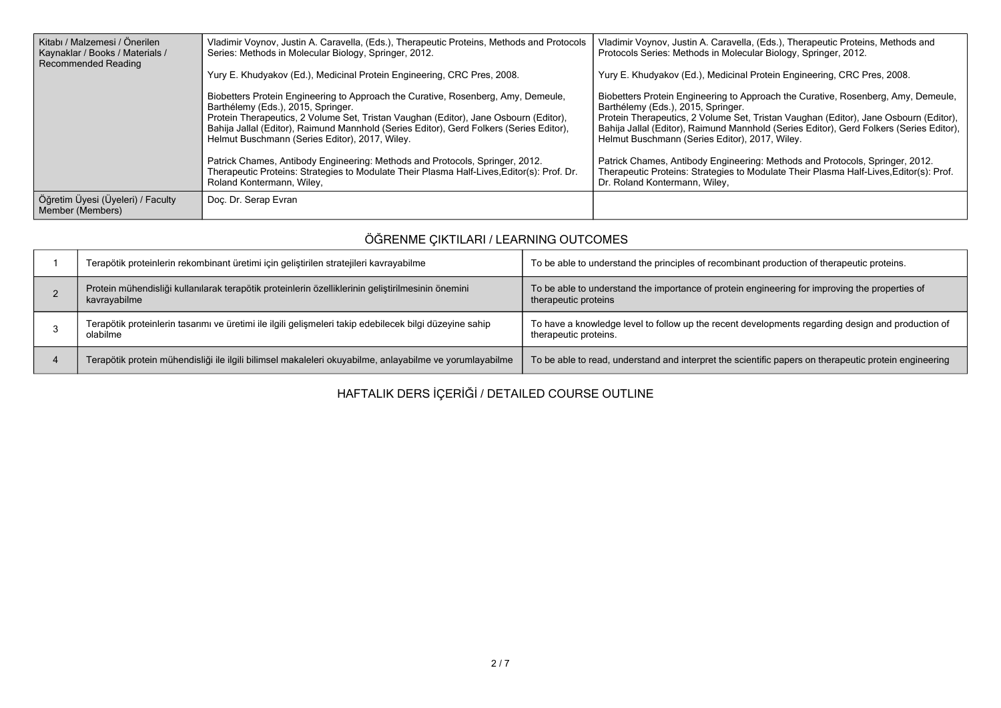| Kitabı / Malzemesi / Önerilen<br>Kaynaklar / Books / Materials /<br>Recommended Reading | Vladimir Voynov, Justin A. Caravella, (Eds.), Therapeutic Proteins, Methods and Protocols<br>Series: Methods in Molecular Biology, Springer, 2012.                                                                                                                                                                                                                                                                                                                                                                                                                     | Vladimir Voynov, Justin A. Caravella, (Eds.), Therapeutic Proteins, Methods and<br>Protocols Series: Methods in Molecular Biology, Springer, 2012.                                                                                                                                                                                                                                                                                                                                                                                                                      |
|-----------------------------------------------------------------------------------------|------------------------------------------------------------------------------------------------------------------------------------------------------------------------------------------------------------------------------------------------------------------------------------------------------------------------------------------------------------------------------------------------------------------------------------------------------------------------------------------------------------------------------------------------------------------------|-------------------------------------------------------------------------------------------------------------------------------------------------------------------------------------------------------------------------------------------------------------------------------------------------------------------------------------------------------------------------------------------------------------------------------------------------------------------------------------------------------------------------------------------------------------------------|
|                                                                                         | Yury E. Khudyakov (Ed.), Medicinal Protein Engineering, CRC Pres, 2008.                                                                                                                                                                                                                                                                                                                                                                                                                                                                                                | Yury E. Khudyakov (Ed.), Medicinal Protein Engineering, CRC Pres, 2008.                                                                                                                                                                                                                                                                                                                                                                                                                                                                                                 |
|                                                                                         | Biobetters Protein Engineering to Approach the Curative, Rosenberg, Amy, Demeule,<br>Barthélemy (Eds.), 2015, Springer.<br>Protein Therapeutics, 2 Volume Set, Tristan Vaughan (Editor), Jane Osbourn (Editor),<br>Bahija Jallal (Editor), Raimund Mannhold (Series Editor), Gerd Folkers (Series Editor),<br>Helmut Buschmann (Series Editor), 2017, Wiley.<br>Patrick Chames, Antibody Engineering: Methods and Protocols, Springer, 2012.<br>Therapeutic Proteins: Strategies to Modulate Their Plasma Half-Lives Editor(s): Prof. Dr.<br>Roland Kontermann, Wiley, | Biobetters Protein Engineering to Approach the Curative, Rosenberg, Amy, Demeule,<br>Barthélemy (Eds.), 2015, Springer.<br>Protein Therapeutics, 2 Volume Set, Tristan Vaughan (Editor), Jane Osbourn (Editor),<br>Bahija Jallal (Editor), Raimund Mannhold (Series Editor), Gerd Folkers (Series Editor),<br>Helmut Buschmann (Series Editor), 2017, Wiley.<br>Patrick Chames, Antibody Engineering: Methods and Protocols, Springer, 2012.<br>Therapeutic Proteins: Strategies to Modulate Their Plasma Half-Lives, Editor(s): Prof.<br>Dr. Roland Kontermann, Wiley, |
|                                                                                         |                                                                                                                                                                                                                                                                                                                                                                                                                                                                                                                                                                        |                                                                                                                                                                                                                                                                                                                                                                                                                                                                                                                                                                         |
| Öğretim Üyesi (Üyeleri) / Faculty<br>Member (Members)                                   | Doc. Dr. Serap Evran                                                                                                                                                                                                                                                                                                                                                                                                                                                                                                                                                   |                                                                                                                                                                                                                                                                                                                                                                                                                                                                                                                                                                         |

# **ÖĞRENME ÇIKTILARI / LEARNING OUTCOMES**

| Terapötik proteinlerin rekombinant üretimi için geliştirilen stratejileri kavrayabilme                              | To be able to understand the principles of recombinant production of therapeutic proteins.                                 |
|---------------------------------------------------------------------------------------------------------------------|----------------------------------------------------------------------------------------------------------------------------|
| Protein mühendisliği kullanılarak terapötik proteinlerin özelliklerinin geliştirilmesinin önemini<br>kavrayabilme   | To be able to understand the importance of protein engineering for improving the properties of<br>therapeutic proteins     |
| Terapötik proteinlerin tasarımı ve üretimi ile ilgili gelişmeleri takip edebilecek bilgi düzeyine sahip<br>olabilme | To have a knowledge level to follow up the recent developments regarding design and production of<br>therapeutic proteins. |
| Terapötik protein mühendisliği ile ilgili bilimsel makaleleri okuyabilme, anlayabilme ve yorumlayabilme             | To be able to read, understand and interpret the scientific papers on therapeutic protein engineering                      |

**HAFTALIK DERS İÇERİĞİ / DETAILED COURSE OUTLINE**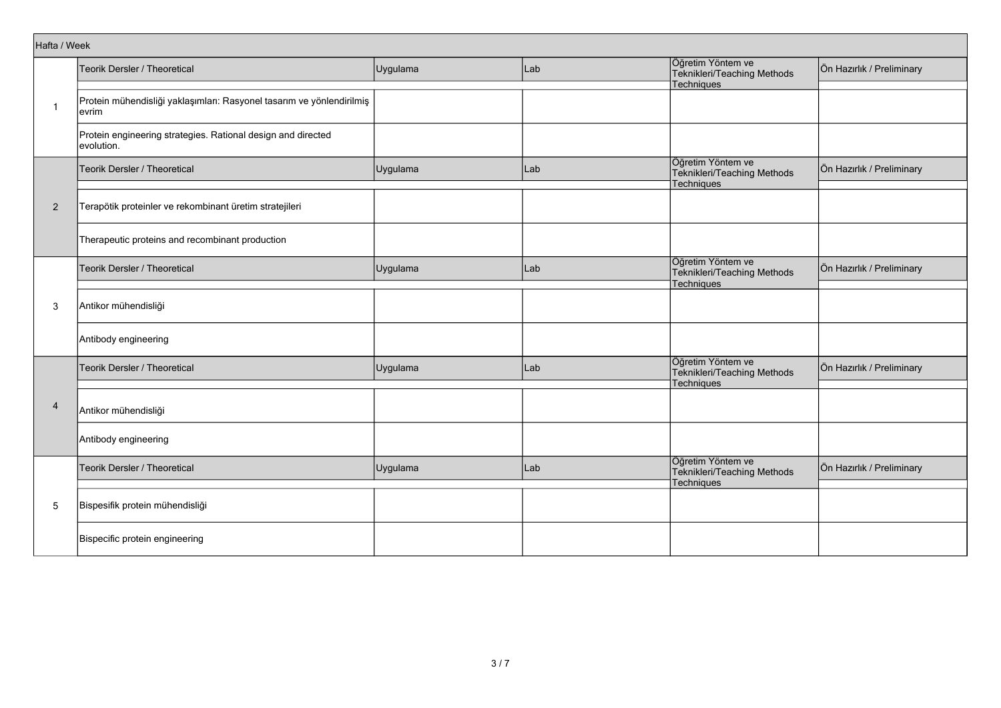|                | Hafta / Week                                                                   |          |     |                                                                       |                           |  |  |
|----------------|--------------------------------------------------------------------------------|----------|-----|-----------------------------------------------------------------------|---------------------------|--|--|
|                | Teorik Dersler / Theoretical                                                   | Uygulama | Lab | Öğretim Yöntem ve<br>Teknikleri/Teaching Methods<br>Techniques        | Ön Hazırlık / Preliminary |  |  |
| -1             | Protein mühendisliği yaklaşımları: Rasyonel tasarım ve yönlendirilmiş<br>evrim |          |     |                                                                       |                           |  |  |
|                | Protein engineering strategies. Rational design and directed<br>evolution.     |          |     |                                                                       |                           |  |  |
|                | Teorik Dersler / Theoretical                                                   | Uygulama | Lab | Öğretim Yöntem ve<br>Teknikleri/Teaching Methods<br>Techniques        | Ön Hazırlık / Preliminary |  |  |
| $\overline{2}$ | Terapötik proteinler ve rekombinant üretim stratejileri                        |          |     |                                                                       |                           |  |  |
|                | Therapeutic proteins and recombinant production                                |          |     |                                                                       |                           |  |  |
|                | Teorik Dersler / Theoretical                                                   | Uygulama | Lab | Öğretim Yöntem ve<br>Teknikleri/Teaching Methods<br><b>Techniques</b> | Ön Hazırlık / Preliminary |  |  |
| 3              | Antikor mühendisliği                                                           |          |     |                                                                       |                           |  |  |
|                | Antibody engineering                                                           |          |     |                                                                       |                           |  |  |
|                | Teorik Dersler / Theoretical                                                   | Uygulama | Lab | Öğretim Yöntem ve<br>Teknikleri/Teaching Methods<br>Techniques        | Ön Hazırlık / Preliminary |  |  |
| $\overline{4}$ | Antikor mühendisliği                                                           |          |     |                                                                       |                           |  |  |
|                | Antibody engineering                                                           |          |     |                                                                       |                           |  |  |
|                | Teorik Dersler / Theoretical                                                   | Uygulama | Lab | Öğretim Yöntem ve<br>Teknikleri/Teaching Methods<br>Techniques        | Ön Hazırlık / Preliminary |  |  |
| 5              | Bispesifik protein mühendisliği                                                |          |     |                                                                       |                           |  |  |
|                | Bispecific protein engineering                                                 |          |     |                                                                       |                           |  |  |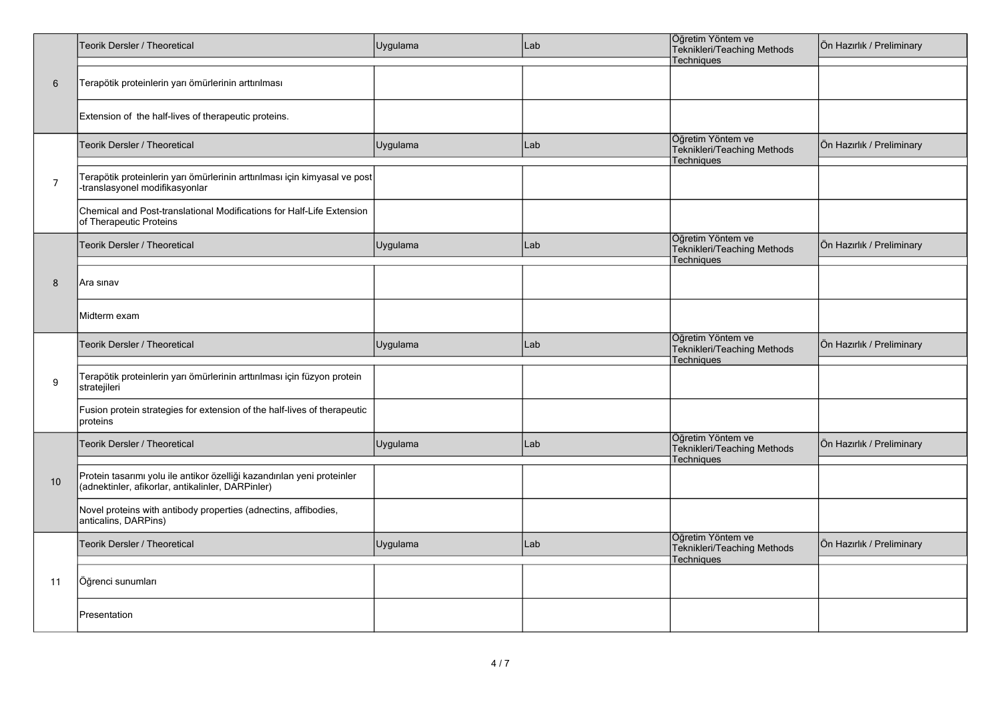|                | Teorik Dersler / Theoretical                                                                                                 | Uygulama | Lab | Öğretim Yöntem ve<br>Teknikleri/Teaching Methods<br>Techniques | Ön Hazırlık / Preliminary |
|----------------|------------------------------------------------------------------------------------------------------------------------------|----------|-----|----------------------------------------------------------------|---------------------------|
| $6\phantom{1}$ | Terapötik proteinlerin yarı ömürlerinin arttırılması                                                                         |          |     |                                                                |                           |
|                | Extension of the half-lives of therapeutic proteins.                                                                         |          |     |                                                                |                           |
|                | Teorik Dersler / Theoretical                                                                                                 | Uygulama | Lab | Öğretim Yöntem ve<br>Teknikleri/Teaching Methods<br>Techniques | Ön Hazırlık / Preliminary |
| $\overline{7}$ | Terapötik proteinlerin yarı ömürlerinin arttırılması için kimyasal ve post<br>-translasyonel modifikasyonlar                 |          |     |                                                                |                           |
|                | Chemical and Post-translational Modifications for Half-Life Extension<br>of Therapeutic Proteins                             |          |     |                                                                |                           |
|                | Teorik Dersler / Theoretical                                                                                                 | Uygulama | Lab | Öğretim Yöntem ve<br>Teknikleri/Teaching Methods<br>Techniques | Ön Hazırlık / Preliminary |
| 8              | Ara sınav                                                                                                                    |          |     |                                                                |                           |
|                | Midterm exam                                                                                                                 |          |     |                                                                |                           |
|                | Teorik Dersler / Theoretical                                                                                                 | Uygulama | Lab | Öğretim Yöntem ve<br>Teknikleri/Teaching Methods<br>Techniques | Ön Hazırlık / Preliminary |
| 9              | Terapötik proteinlerin yarı ömürlerinin arttırılması için füzyon protein<br>stratejileri                                     |          |     |                                                                |                           |
|                | Fusion protein strategies for extension of the half-lives of therapeutic<br>proteins                                         |          |     |                                                                |                           |
|                | Teorik Dersler / Theoretical                                                                                                 | Uygulama | Lab | Öğretim Yöntem ve<br>Teknikleri/Teaching Methods<br>Techniques | Ön Hazırlık / Preliminary |
| 10             | Protein tasarımı yolu ile antikor özelliği kazandırılan yeni proteinler<br>(adnektinler, afikorlar, antikalinler, DARPinler) |          |     |                                                                |                           |
|                | Novel proteins with antibody properties (adnectins, affibodies,<br>anticalins, DARPins)                                      |          |     |                                                                |                           |
|                | Teorik Dersler / Theoretical                                                                                                 | Uygulama | Lab | Öğretim Yöntem ve<br>Teknikleri/Teaching Methods<br>Techniques | Ön Hazırlık / Preliminary |
| 11             | Öğrenci sunumları                                                                                                            |          |     |                                                                |                           |
|                | Presentation                                                                                                                 |          |     |                                                                |                           |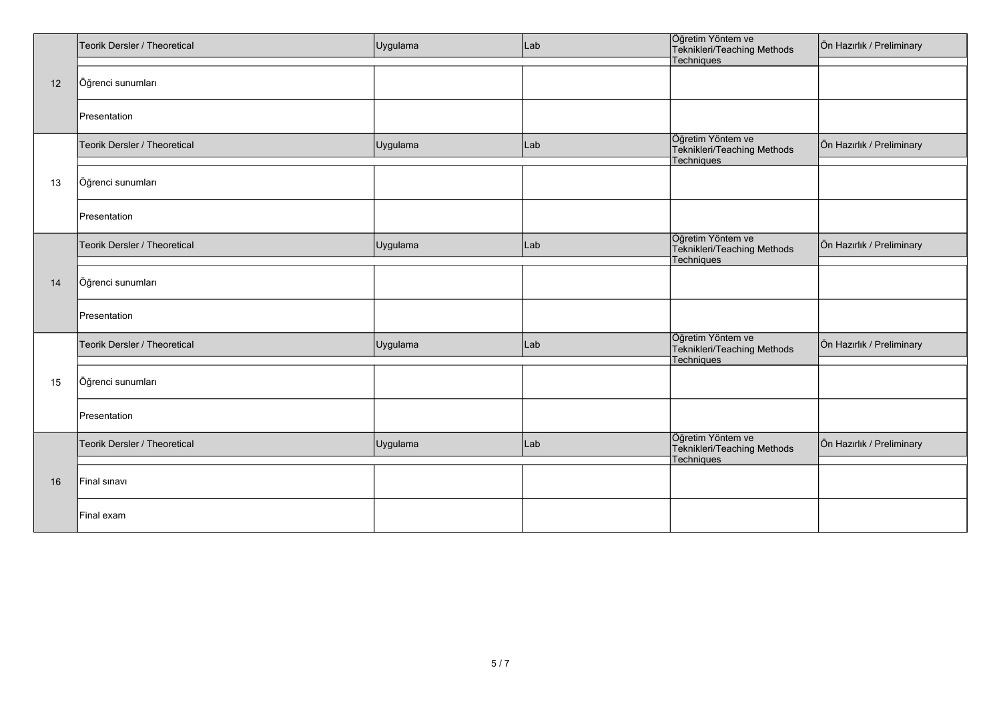|    | Teorik Dersler / Theoretical | Uygulama | Lab | Öğretim Yöntem ve<br>Teknikleri/Teaching Methods                      | Ön Hazırlık / Preliminary |
|----|------------------------------|----------|-----|-----------------------------------------------------------------------|---------------------------|
|    |                              |          |     | Techniques                                                            |                           |
| 12 | Öğrenci sunumları            |          |     |                                                                       |                           |
|    | Presentation                 |          |     |                                                                       |                           |
|    | Teorik Dersler / Theoretical | Uygulama | Lab | Öğretim Yöntem ve<br>Teknikleri/Teaching Methods<br>Techniques        | Ön Hazırlık / Preliminary |
| 13 | Öğrenci sunumları            |          |     |                                                                       |                           |
|    | Presentation                 |          |     |                                                                       |                           |
|    | Teorik Dersler / Theoretical | Uygulama | Lab | Öğretim Yöntem ve<br>Teknikleri/Teaching Methods<br><b>Techniques</b> | Ön Hazırlık / Preliminary |
| 14 | Öğrenci sunumları            |          |     |                                                                       |                           |
|    | Presentation                 |          |     |                                                                       |                           |
|    | Teorik Dersler / Theoretical | Uygulama | Lab | Öğretim Yöntem ve<br>Teknikleri/Teaching Methods<br><b>Techniques</b> | Ön Hazırlık / Preliminary |
| 15 | Öğrenci sunumları            |          |     |                                                                       |                           |
|    | Presentation                 |          |     |                                                                       |                           |
|    | Teorik Dersler / Theoretical | Uygulama | Lab | Öğretim Yöntem ve<br>Teknikleri/Teaching Methods<br>Techniques        | Ön Hazırlık / Preliminary |
| 16 | Final sinavi                 |          |     |                                                                       |                           |
|    | Final exam                   |          |     |                                                                       |                           |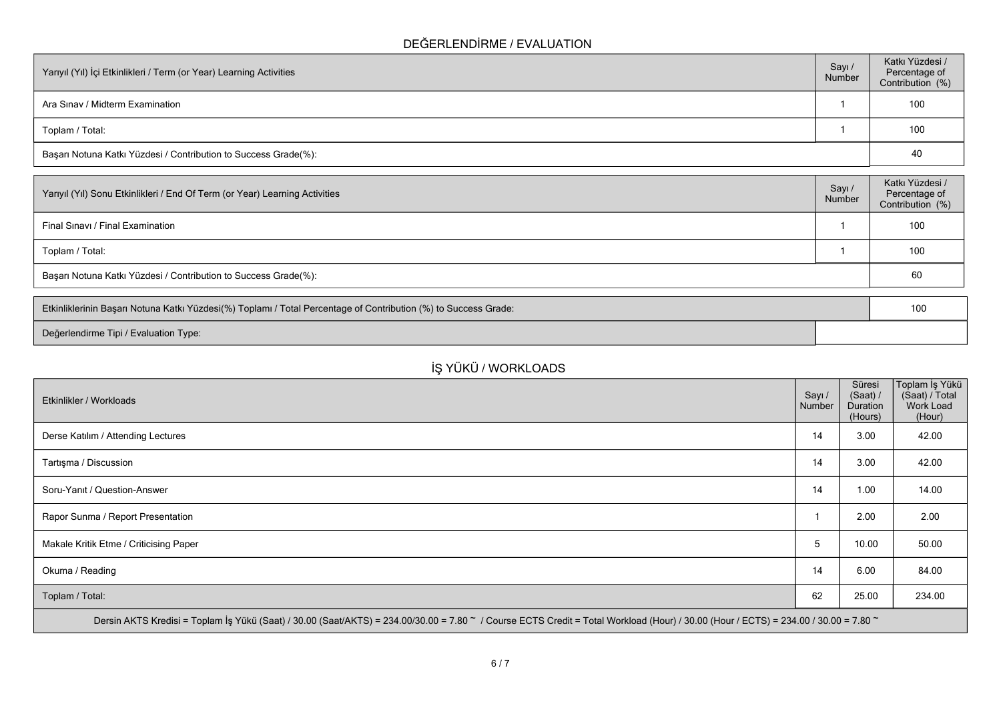### **DEĞERLENDİRME / EVALUATION**

| Yarıyıl (Yıl) İçi Etkinlikleri / Term (or Year) Learning Activities | Sayı /<br>Number | Katkı Yüzdesi /<br>Percentage of<br>Contribution (%) |
|---------------------------------------------------------------------|------------------|------------------------------------------------------|
| Ara Sinav / Midterm Examination                                     |                  | 100                                                  |
| Toplam / Total:                                                     |                  | 100                                                  |
| Başarı Notuna Katkı Yüzdesi / Contribution to Success Grade(%):     |                  | 40                                                   |

| Sayı /<br>Number | Katkı Yüzdesi /<br>Percentage of<br>Contribution (%) |
|------------------|------------------------------------------------------|
|                  | 100                                                  |
|                  | 100                                                  |
|                  | 60                                                   |
|                  |                                                      |

| Etkinliklerinin Başarı Notuna Katkı Yüzdesi(%) Toplamı / Total Percentage of Contribution (%) to Success Grade: |  | 10 <sup>C</sup> |
|-----------------------------------------------------------------------------------------------------------------|--|-----------------|
| Değerlendirme Tipi / Evaluation Type:                                                                           |  |                 |

# **İŞ YÜKÜ / WORKLOADS**

| Etkinlikler / Workloads                                                                                                                                                              | Sayı /<br>Number | Süresi<br>(Saat) /<br>Duration<br>(Hours) | ∣Toplam İş Yükü<br>(Saat) / Total<br>Work Load<br>(Hour) |
|--------------------------------------------------------------------------------------------------------------------------------------------------------------------------------------|------------------|-------------------------------------------|----------------------------------------------------------|
| Derse Katılım / Attending Lectures                                                                                                                                                   | 14               | 3.00                                      | 42.00                                                    |
| Tartışma / Discussion                                                                                                                                                                | 14               | 3.00                                      | 42.00                                                    |
| Soru-Yanıt / Question-Answer                                                                                                                                                         | 14               | 1.00                                      | 14.00                                                    |
| Rapor Sunma / Report Presentation                                                                                                                                                    |                  | 2.00                                      | 2.00                                                     |
| Makale Kritik Etme / Criticising Paper                                                                                                                                               | 5                | 10.00                                     | 50.00                                                    |
| Okuma / Reading                                                                                                                                                                      | 14               | 6.00                                      | 84.00                                                    |
| Toplam / Total:                                                                                                                                                                      | 62               | 25.00                                     | 234.00                                                   |
| Dersin AKTS Kredisi = Toplam İş Yükü (Saat) / 30.00 (Saat/AKTS) = 234.00/30.00 = 7.80 ~ / Course ECTS Credit = Total Workload (Hour) / 30.00 (Hour / ECTS) = 234.00 / 30.00 = 7.80 ~ |                  |                                           |                                                          |